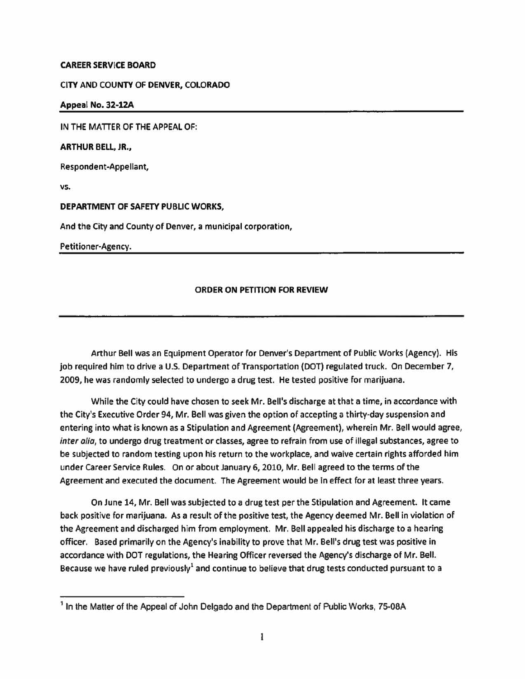## **CAREER SERVICE BOARD**

## CITY AND COUNTY OF **DENVER,** COLORADO

**Appeal No. 32·12A** 

**IN THE MATTER OF THE APPEAL** OF:

**ARTHUR BELL, JR.,** 

Respondent-Appellant,

**vs.** 

**DEPARTMENT OF SAFETY PUBLIC WORKS,** 

And the City and County of Denver, a municipal corporation,

Petitioner-Agency.

## **ORDER ON PETITION FOR REVIEW**

Arthur Bell was an Equipment Operator for Denver's Department of Public Works (Agency). His job required him to drive a U.S. Department of Transportation (DOT) regulated truck. On December 7, 2009, he was randomly selected to undergo a drug test. He tested positive for marijuana.

While the City could have chosen to seek Mr. Bell's discharge at that a time, in accordance with the City's Executive Order 94, Mr. Bell was given the option of accepting a thirty-day suspension and entering into what is known as a Stipulation and Agreement (Agreement), wherein Mr. Bell would agree, inter alia, to undergo drug treatment or classes, agree to refrain from use of illegal substances, agree to be subjected to random testing upon his return to the workplace, and waive certain rights afforded him under Career Service Rules. On or about January 6, 2010, Mr. Bell agreed to the terms of the Agreement and executed the document. The Agreement would be in effect for at least three years.

On June 14, Mr. Bell was subjected to a drug test per the Stipulation and Agreement. It came back positive for marijuana. As a result of the positive test, the Agency deemed Mr. Bell in violation of the Agreement and discharged him from employment. Mr. Bell appealed his discharge to a hearing officer. Based primarily on the Agency's inability to prove that Mr. Bell's drug test was positive in accordance with DOT regulations, the Hearing Officer reversed the Agency's discharge of Mr. Bell. Because we have ruled previously<sup>1</sup> and continue to believe that drug tests conducted pursuant to a

<sup>&</sup>lt;sup>1</sup> In the Matter of the Appeal of John Delgado and the Department of Public Works, 75-08A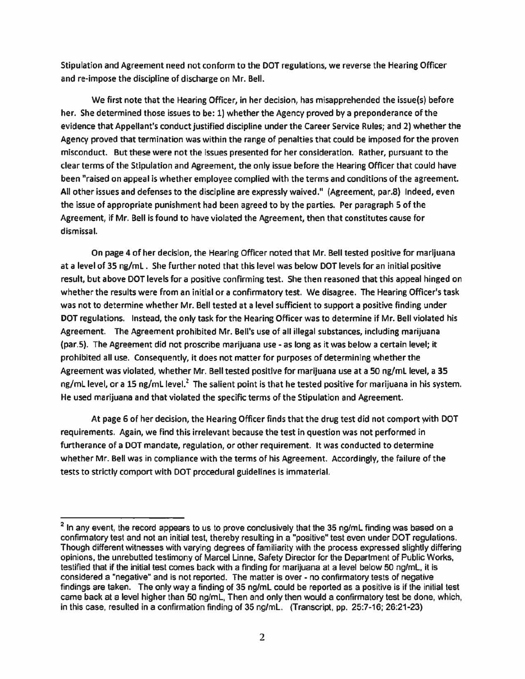Stipulation and Agreement need not conform to the DOT regulations, we reverse the Hearing Officer and re-impose the discipline of discharge on Mr. Bell.

We first note that the Hearing Officer, in her decision, has misapprehended the issue(s) before her. She determined those issues to be: 1) whether the Agency proved by a preponderance of the evidence that Appellant's conduct justified discipline under the Career Service Rules; and 2) whether the Agency proved that termination was within the range of penalties that could be imposed for the proven misconduct. But these were not the issues presented for her consideration. Rather, pursuant to the clear terms of the Stipulation and Agreement, the only issue before the Hearing Officer that could have been "raised on appeal is whether employee complied with the terms and conditions of the agreement. All other issues and defenses to the discipline are expressly waived." (Agreement, par.8) Indeed, even the issue of appropriate punishment had been agreed to by the parties. Per paragraph 5 of the Agreement, if Mr. Bell is found to have violated the Agreement, then that constitutes cause for dismissal.

On page 4 of her decision, the Hearing Officer noted that Mr. Bell tested positive for marijuana at a level of 35 ng/ml . She further noted that this level was below DOT levels for an initial positive result, but above DOT levels for a positive confirming test. She then reasoned that this appeal hinged on whether the results were from an initial or a confirmatory test. We disagree. The Hearing Officer's task was not to determine whether Mr. Bell tested at a level sufficient to support a positive finding under DOT regulations. Instead, the only task for the Hearing Officer was to determine if Mr. Bell violated his Agreement. The Agreement prohibited Mr. Bell's use of all illegal substances, including marijuana (par.5). The Agreement did not proscribe marijuana use - as long as it was below a certain level; it prohibited all use. Consequently, it does not matter for purposes of determining whether the Agreement was violated, whether Mr. Bell tested positive for marijuana use at a SO ng/ml level, a **35**  ng/mL level, or a 15 ng/mL level.<sup>2</sup> The salient point is that he tested positive for marijuana in his system. He used marijuana and that violated the specific terms of the Stipulation and Agreement.

At page 6 of her decision, the Hearing Officer finds that the drug test did not comport with DOT requirements. Again, we find this irrelevant because the test in question was not performed in furtherance of a DOT mandate, regulation, or other requirement. It was conducted to determine whether Mr. Bell was in compliance with the terms of his Agreement. Accordingly, the failure of the tests to strictly comport with DOT procedural guidelines is immaterial.

 $<sup>2</sup>$  In any event, the record appears to us to prove conclusively that the 35 ng/mL finding was based on a</sup> confirmatory test and not an initial test, thereby resulting in a "positive" test even under DOT regulations. Though different witnesses with varying degrees of familiarity with the process expressed slightly differing opinions, the unrebutted testimony of Marcel Linne, Safety Director for the Department of Public Works, testified that if the initial test comes back with a finding for marijuana at a level below 50 ng/mL, it is considered a "negative" and is not reported. The matter is over - no confirmatory tests of negative findings are taken. The only way a finding of 35 ng/ml could be reported as a positive is if the initial test came back at a level higher than 50 ng/ml, Then and only then would a confirmatory test be done, which, in this case, resulted in a confirmation finding of 35 ng/ml. (Transcript, pp. 25:7-16; 26:21-23)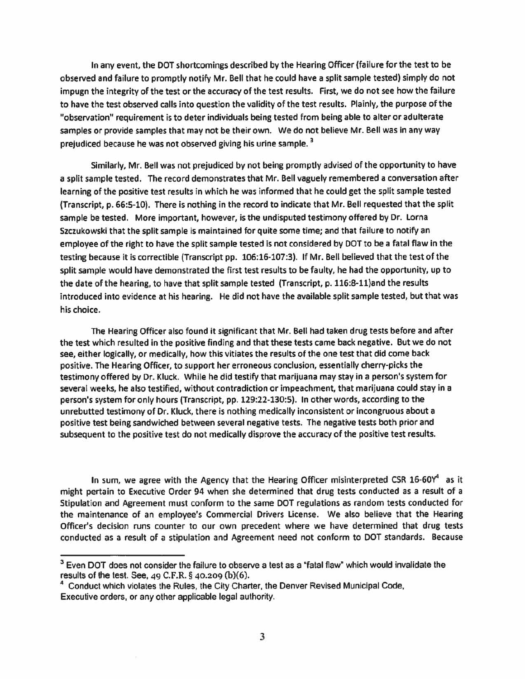In any event, the DOT shortcomings described by the Hearing Officer (failure for the test to be observed and failure to promptly notify Mr. Bell that he could have a split sample tested) simply do not impugn the integrity of the test or the accuracy of the test results. First, we do not see how the failure to have the test observed calls into question the validity of the test results. Plainly, the purpose of the "observation" requirement is to deter individuals being tested from being able to alter or adulterate samples or provide samples that may not be their own. We do not believe Mr. Bell was in any way prejudiced because he was not observed giving his urine sample.<sup>3</sup>

Similarly, Mr. Bell was not prejudiced by not being promptly advised of the opportunity to have a split sample tested. The record demonstrates that Mr. Bell vaguely remembered a conversation after learning of the positive test results in which he was informed that he could get the split sample tested (Transcript, p. 66:5-10}. There is nothing in the record to indicate that Mr. Bell requested that the split sample be tested. More important, however, is the undisputed testimony offered by Dr. Lorna Szczukowski that the split sample is maintained for quite some time; and that failure to notify an employee of the right to have the split sample tested is not considered by DOT to be a fatal flaw in the testing because it is correctible (Transcript pp. 106:16-107:3). If Mr. Bell believed that the test of the split sample would have demonstrated the first test results to be faulty, he had the opportunity, up to the date of the hearing, to have that split sample tested (Transcript, p. 116:8-ll)and the results introduced into evidence at his hearing. He did not have the available split sample tested, but that was his choice.

The Hearing Officer also found it significant that Mr. Bell had taken drug tests before and after the test which resulted in the positive finding and that these tests came back negative. But we do not see, either logically, or medically, how this vitiates the results of the one test that did come back positive. The Hearing Officer, to support her erroneous conclusion, essentially cherry-picks the testimony offered by Dr. Kluck. While he did testify that marijuana may stay in a person's system for several weeks, he also testified, without contradiction or impeachment, that marijuana could stay in a person's system for only hours (Transcript, pp. 129:22-130:5). In other words, according to the unrebutted testimony of Or. Kluck, there is nothing medically inconsistent or incongruous about a positive test being sandwiched between several negative tests. The negative tests both prior and subsequent to the positive test do not medically disprove the accuracy of the positive test results.

In sum, we agree with the Agency that the Hearing Officer misinterpreted CSR  $16-60Y^4$  as it might pertain to Executive Order 94 when she determined that drug tests conducted as a result of a Stipulation and Agreement must conform to the same DOT regulations as random tests conducted for the maintenance of an employee's Commercial Drivers License. We also believe that the Hearing Officer's decision runs counter to our own precedent where we have determined that drug tests conducted as a result of a stipulation and Agreement need not conform to DOT standards. Because

<sup>&</sup>lt;sup>3</sup> Even DOT does not consider the failure to observe a test as a "fatal flaw" which would invalidate the results of the test. See, 49 C.F.R. § 40.209 (b)(6).

 $<sup>4</sup>$  Conduct which violates the Rules, the City Charter, the Denver Revised Municipal Code,</sup> Executive orders, or any other applicable legal authority.